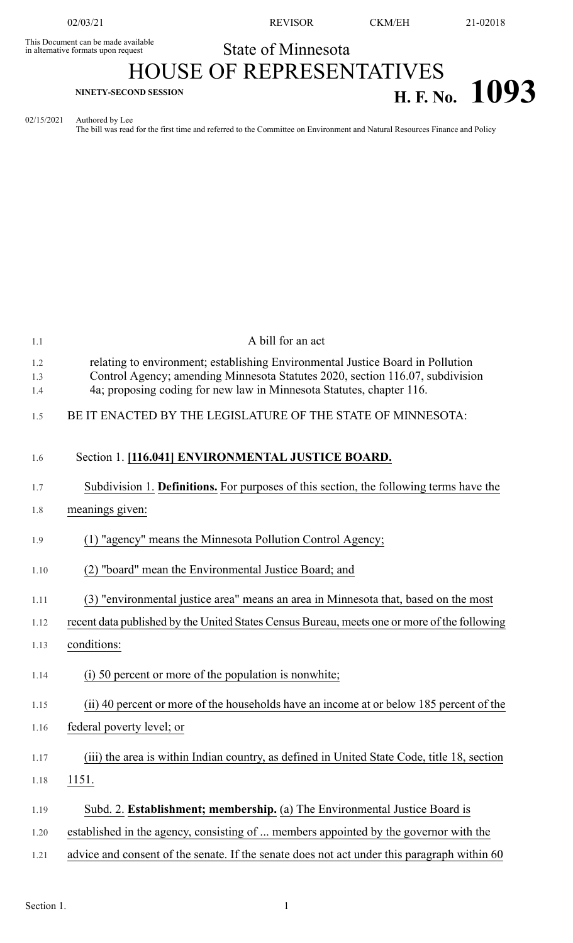This Document can be made available<br>in alternative formats upon request

02/03/21 REVISOR CKM/EH 21-02018

## State of Minnesota HOUSE OF REPRESENTATIVES **H. F. No. 1093**

## 02/15/2021 Authored by Lee

The bill was read for the first time and referred to the Committee on Environment and Natural Resources Finance and Policy

| 1.1        | A bill for an act                                                                                                                                               |
|------------|-----------------------------------------------------------------------------------------------------------------------------------------------------------------|
| 1.2<br>1.3 | relating to environment; establishing Environmental Justice Board in Pollution<br>Control Agency; amending Minnesota Statutes 2020, section 116.07, subdivision |
| 1.4        | 4a; proposing coding for new law in Minnesota Statutes, chapter 116.                                                                                            |
| 1.5        | BE IT ENACTED BY THE LEGISLATURE OF THE STATE OF MINNESOTA:                                                                                                     |
| 1.6        | Section 1. [116.041] ENVIRONMENTAL JUSTICE BOARD.                                                                                                               |
| 1.7        | Subdivision 1. Definitions. For purposes of this section, the following terms have the                                                                          |
| 1.8        | meanings given:                                                                                                                                                 |
| 1.9        | (1) "agency" means the Minnesota Pollution Control Agency;                                                                                                      |
| 1.10       | (2) "board" mean the Environmental Justice Board; and                                                                                                           |
| 1.11       | (3) "environmental justice area" means an area in Minnesota that, based on the most                                                                             |
| 1.12       | recent data published by the United States Census Bureau, meets one or more of the following                                                                    |
| 1.13       | conditions:                                                                                                                                                     |
| 1.14       | (i) 50 percent or more of the population is nonwhite;                                                                                                           |
| 1.15       | (ii) 40 percent or more of the households have an income at or below 185 percent of the                                                                         |
| 1.16       | federal poverty level; or                                                                                                                                       |
| 1.17       | (iii) the area is within Indian country, as defined in United State Code, title 18, section                                                                     |
| 1.18       | 1151.                                                                                                                                                           |
| 1.19       | Subd. 2. Establishment; membership. (a) The Environmental Justice Board is                                                                                      |
| 1.20       | established in the agency, consisting of  members appointed by the governor with the                                                                            |
| 1.21       | advice and consent of the senate. If the senate does not act under this paragraph within 60                                                                     |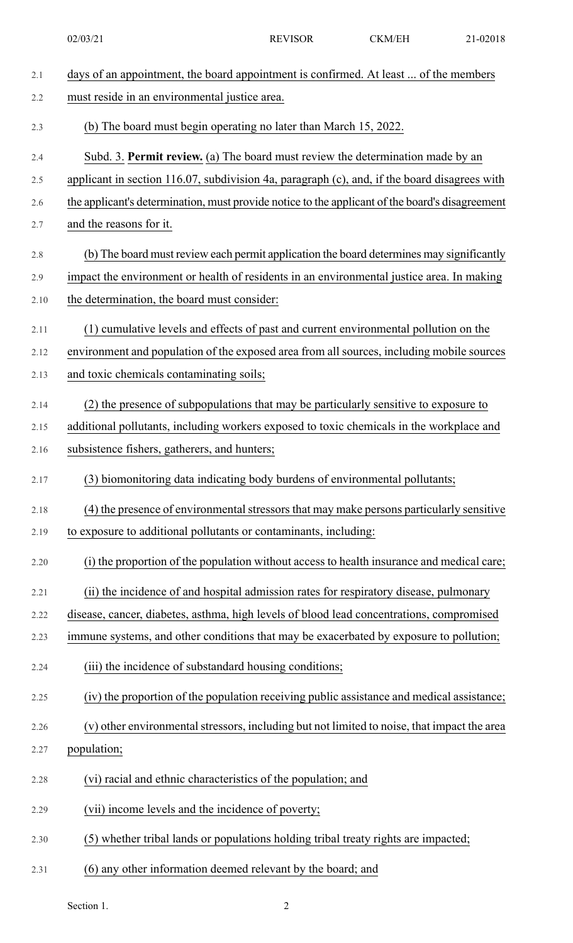| 2.1  | days of an appointment, the board appointment is confirmed. At least  of the members            |
|------|-------------------------------------------------------------------------------------------------|
| 2.2  | must reside in an environmental justice area.                                                   |
| 2.3  | (b) The board must begin operating no later than March 15, 2022.                                |
| 2.4  | Subd. 3. Permit review. (a) The board must review the determination made by an                  |
| 2.5  | applicant in section 116.07, subdivision 4a, paragraph (c), and, if the board disagrees with    |
| 2.6  | the applicant's determination, must provide notice to the applicant of the board's disagreement |
| 2.7  | and the reasons for it.                                                                         |
| 2.8  | (b) The board must review each permit application the board determines may significantly        |
| 2.9  | impact the environment or health of residents in an environmental justice area. In making       |
| 2.10 | the determination, the board must consider:                                                     |
| 2.11 | (1) cumulative levels and effects of past and current environmental pollution on the            |
| 2.12 | environment and population of the exposed area from all sources, including mobile sources       |
| 2.13 | and toxic chemicals contaminating soils;                                                        |
| 2.14 | (2) the presence of subpopulations that may be particularly sensitive to exposure to            |
| 2.15 | additional pollutants, including workers exposed to toxic chemicals in the workplace and        |
| 2.16 | subsistence fishers, gatherers, and hunters;                                                    |
| 2.17 | (3) biomonitoring data indicating body burdens of environmental pollutants;                     |
| 2.18 | (4) the presence of environmental stressors that may make persons particularly sensitive        |
| 2.19 | to exposure to additional pollutants or contaminants, including:                                |
| 2.20 | (i) the proportion of the population without access to health insurance and medical care;       |
| 2.21 | (ii) the incidence of and hospital admission rates for respiratory disease, pulmonary           |
| 2.22 | disease, cancer, diabetes, asthma, high levels of blood lead concentrations, compromised        |
| 2.23 | immune systems, and other conditions that may be exacerbated by exposure to pollution;          |
| 2.24 | (iii) the incidence of substandard housing conditions;                                          |
| 2.25 | (iv) the proportion of the population receiving public assistance and medical assistance;       |
| 2.26 | (v) other environmental stressors, including but not limited to noise, that impact the area     |
| 2.27 | population;                                                                                     |
| 2.28 | (vi) racial and ethnic characteristics of the population; and                                   |
| 2.29 | (vii) income levels and the incidence of poverty;                                               |
| 2.30 | (5) whether tribal lands or populations holding tribal treaty rights are impacted;              |
| 2.31 | (6) any other information deemed relevant by the board; and                                     |

Section 1. 2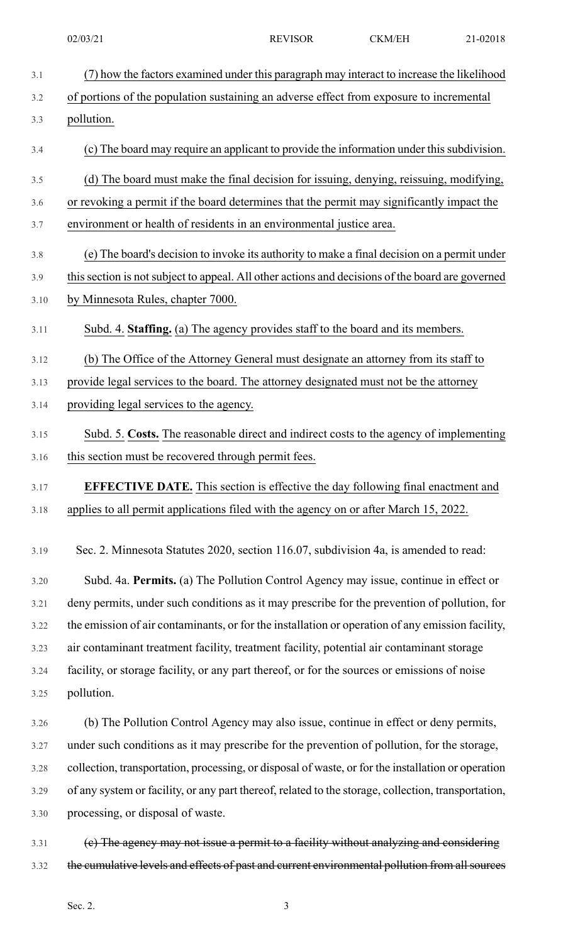| 3.1  | (7) how the factors examined under this paragraph may interact to increase the likelihood           |
|------|-----------------------------------------------------------------------------------------------------|
| 3.2  | of portions of the population sustaining an adverse effect from exposure to incremental             |
| 3.3  | pollution.                                                                                          |
| 3.4  | (c) The board may require an applicant to provide the information under this subdivision.           |
| 3.5  | (d) The board must make the final decision for issuing, denying, reissuing, modifying,              |
| 3.6  | or revoking a permit if the board determines that the permit may significantly impact the           |
| 3.7  | environment or health of residents in an environmental justice area.                                |
| 3.8  | (e) The board's decision to invoke its authority to make a final decision on a permit under         |
| 3.9  | this section is not subject to appeal. All other actions and decisions of the board are governed    |
| 3.10 | by Minnesota Rules, chapter 7000.                                                                   |
| 3.11 | Subd. 4. Staffing. (a) The agency provides staff to the board and its members.                      |
| 3.12 | (b) The Office of the Attorney General must designate an attorney from its staff to                 |
| 3.13 | provide legal services to the board. The attorney designated must not be the attorney               |
| 3.14 | providing legal services to the agency.                                                             |
| 3.15 | Subd. 5. Costs. The reasonable direct and indirect costs to the agency of implementing              |
| 3.16 | this section must be recovered through permit fees.                                                 |
| 3.17 | <b>EFFECTIVE DATE.</b> This section is effective the day following final enactment and              |
| 3.18 | applies to all permit applications filed with the agency on or after March 15, 2022.                |
| 3.19 | Sec. 2. Minnesota Statutes 2020, section 116.07, subdivision 4a, is amended to read:                |
| 3.20 | Subd. 4a. Permits. (a) The Pollution Control Agency may issue, continue in effect or                |
| 3.21 | deny permits, under such conditions as it may prescribe for the prevention of pollution, for        |
| 3.22 | the emission of air contaminants, or for the installation or operation of any emission facility,    |
| 3.23 | air contaminant treatment facility, treatment facility, potential air contaminant storage           |
| 3.24 | facility, or storage facility, or any part thereof, or for the sources or emissions of noise        |
| 3.25 | pollution.                                                                                          |
| 3.26 | (b) The Pollution Control Agency may also issue, continue in effect or deny permits,                |
| 3.27 | under such conditions as it may prescribe for the prevention of pollution, for the storage,         |
| 3.28 | collection, transportation, processing, or disposal of waste, or for the installation or operation  |
| 3.29 | of any system or facility, or any part thereof, related to the storage, collection, transportation, |
| 3.30 | processing, or disposal of waste.                                                                   |
| 3.31 | (e) The agency may not issue a permit to a facility without analyzing and considering               |

3.32 the cumulative levels and effects of past and current environmental pollution from all sources